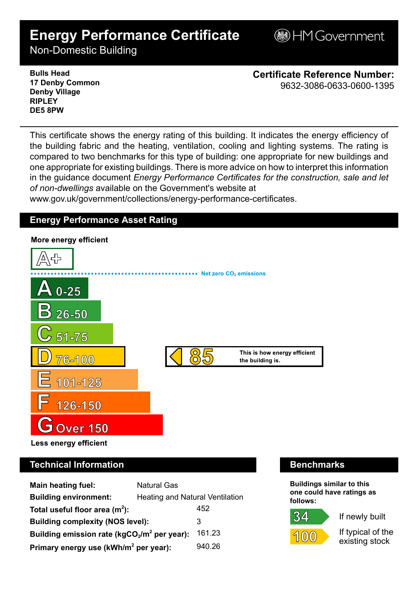# **Energy Performance Certificate**

**B**HM Government

Non-Domestic Building

**Bulls Head 17 Denby Common Denby Village RIPLEY DE5 8PW**

**Certificate Reference Number:** 9632-3086-0633-0600-1395

This certificate shows the energy rating of this building. It indicates the energy efficiency of the building fabric and the heating, ventilation, cooling and lighting systems. The rating is compared to two benchmarks for this type of building: one appropriate for new buildings and one appropriate for existing buildings. There is more advice on how to interpret this information in the guidance document *Energy Performance Certificates for the construction, sale and let of non-dwellings* available on the Government's website at

www.gov.uk/government/collections/energy-performance-certificates.

# **Energy Performance Asset Rating**



# **Technical Information Benchmarks**

| <b>Main heating fuel:</b>                         | <b>Natural Gas</b>                     |        |  |
|---------------------------------------------------|----------------------------------------|--------|--|
| <b>Building environment:</b>                      | <b>Heating and Natural Ventilation</b> |        |  |
| Total useful floor area $(m2)$ :                  |                                        | 452    |  |
| <b>Building complexity (NOS level):</b>           |                                        | 3      |  |
| Building emission rate ( $kgCO2/m2$ per year):    |                                        | 161.23 |  |
| Primary energy use (kWh/m <sup>2</sup> per year): |                                        | 940.26 |  |

**Buildings similar to this one could have ratings as follows:**

If newly built



If typical of the existing stock